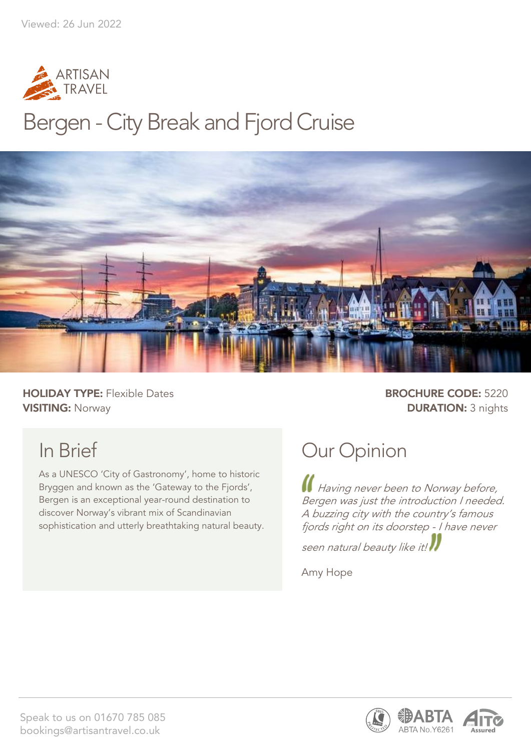

## Bergen - City Break and Fjord Cruise



**HOLIDAY TYPE:** Flexible Dates **BROCHURE CODE:** 5220 **VISITING:** Norway **DURATION:** 3 nights

## In Brief

As a UNESCO 'City of Gastronomy', home to historic Bryggen and known as the 'Gateway to the Fjords', Bergen is an exceptional year-round destination to discover Norway's vibrant mix of Scandinavian sophistication and utterly breathtaking natural beauty.

## Our Opinion

Having never been to Norway before, Bergen was just the introduction I needed. A buzzing city with the country's famous fjords right on its doorstep - I have never

seen natural beauty like it!

Amy Hope



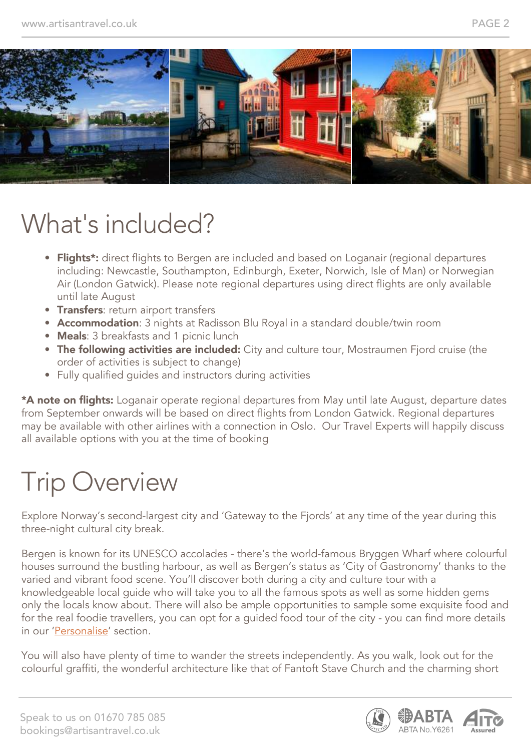

## What's included?

- Flights<sup>\*</sup>: direct flights to Bergen are included and based on Loganair (regional departures including: Newcastle, Southampton, Edinburgh, Exeter, Norwich, Isle of Man) or Norwegian Air (London Gatwick). Please note regional departures using direct flights are only available until late August
- **Transfers:** return airport transfers
- Accommodation: 3 nights at Radisson Blu Royal in a standard double/twin room
- Meals: 3 breakfasts and 1 picnic lunch
- The following activities are included: City and culture tour, Mostraumen Fjord cruise (the order of activities is subject to change)
- Fully qualified guides and instructors during activities

\*A note on flights: Loganair operate regional departures from May until late August, departure dates from September onwards will be based on direct flights from London Gatwick. Regional departures may be available with other airlines with a connection in Oslo. Our Travel Experts will happily discuss all available options with you at the time of booking

## Trip Overview

Explore Norway's second-largest city and 'Gateway to the Fjords' at any time of the year during this three-night cultural city break.

Bergen is known for its UNESCO accolades - there's the world-famous Bryggen Wharf where colourful houses surround the bustling harbour, as well as Bergen's status as 'City of Gastronomy' thanks to the varied and vibrant food scene. You'll discover both during a city and culture tour with a knowledgeable local guide who will take you to all the famous spots as well as some hidden gems only the locals know about. There will also be ample opportunities to sample some exquisite food and for the real foodie travellers, you can opt for a guided food tour of the city - you can find more details in our 'Personalise' section.

You will also have plenty of time to wander the streets independently. As you walk, look out for the colourful graffiti, the wonderful architecture like that of Fantoft Stave Church and the charming short

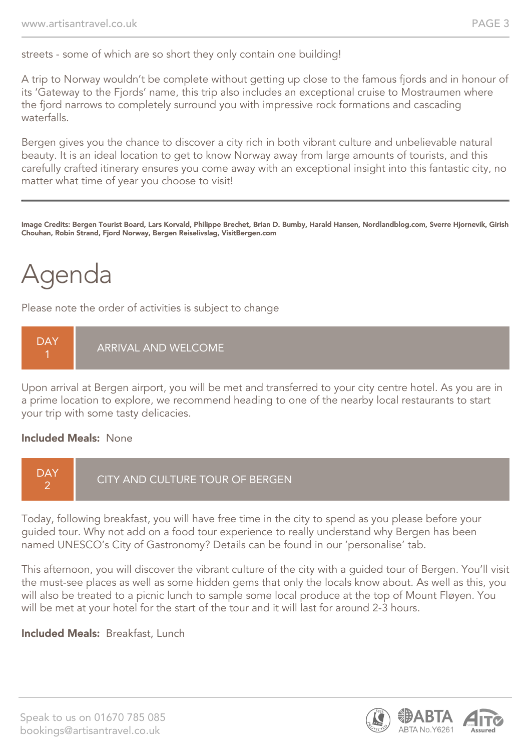streets - some of which are so short they only contain one building!

A trip to Norway wouldn't be complete without getting up close to the famous fjords and in honour of its 'Gateway to the Fjords' name, this trip also includes an exceptional cruise to Mostraumen where the fjord narrows to completely surround you with impressive rock formations and cascading waterfalls.

Bergen gives you the chance to discover a city rich in both vibrant culture and unbelievable natural beauty. It is an ideal location to get to know Norway away from large amounts of tourists, and this carefully crafted itinerary ensures you come away with an exceptional insight into this fantastic city, no matter what time of year you choose to visit!

Image Credits: Bergen Tourist Board, Lars Korvald, Philippe Brechet, Brian D. Bumby, Harald Hansen, Nordlandblog.com, Sverre Hjornevik, Girish Chouhan, Robin Strand, Fjord Norway, Bergen Reiselivslag, VisitBergen.com

## Agenda

Please note the order of activities is subject to change



Upon arrival at Bergen airport, you will be met and transferred to your city centre hotel. As you are in a prime location to explore, we recommend heading to one of the nearby local restaurants to start your trip with some tasty delicacies.

#### Included Meals: None



Today, following breakfast, you will have free time in the city to spend as you please before your guided tour. Why not add on a food tour experience to really understand why Bergen has been named UNESCO's City of Gastronomy? Details can be found in our 'personalise' tab.

This afternoon, you will discover the vibrant culture of the city with a guided tour of Bergen. You'll visit the must-see places as well as some hidden gems that only the locals know about. As well as this, you will also be treated to a picnic lunch to sample some local produce at the top of Mount Fløyen. You will be met at your hotel for the start of the tour and it will last for around 2-3 hours.

#### Included Meals: Breakfast, Lunch

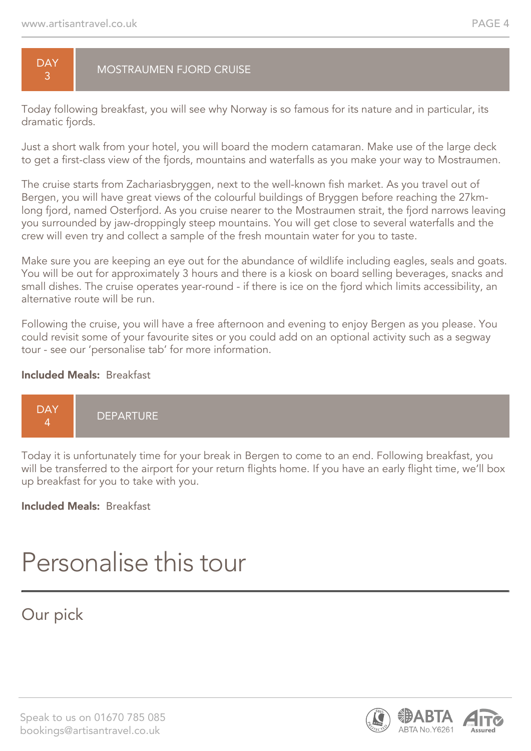#### **DAY** 3 MOSTRAUMEN FJORD CRUISE

Today following breakfast, you will see why Norway is so famous for its nature and in particular, its dramatic fjords.

Just a short walk from your hotel, you will board the modern catamaran. Make use of the large deck to get a first-class view of the fjords, mountains and waterfalls as you make your way to Mostraumen.

The cruise starts from Zachariasbryggen, next to the well-known fish market. As you travel out of Bergen, you will have great views of the colourful buildings of Bryggen before reaching the 27kmlong fjord, named Osterfjord. As you cruise nearer to the Mostraumen strait, the fjord narrows leaving you surrounded by jaw-droppingly steep mountains. You will get close to several waterfalls and the crew will even try and collect a sample of the fresh mountain water for you to taste.

Make sure you are keeping an eye out for the abundance of wildlife including eagles, seals and goats. You will be out for approximately 3 hours and there is a kiosk on board selling beverages, snacks and small dishes. The cruise operates year-round - if there is ice on the fjord which limits accessibility, an alternative route will be run.

Following the cruise, you will have a free afternoon and evening to enjoy Bergen as you please. You could revisit some of your favourite sites or you could add on an optional activity such as a segway tour - see our 'personalise tab' for more information.

#### Included Meals: Breakfast



Today it is unfortunately time for your break in Bergen to come to an end. Following breakfast, you will be transferred to the airport for your return flights home. If you have an early flight time, we'll box up breakfast for you to take with you.

#### Included Meals: Breakfast

## Personalise this tour

#### Our pick

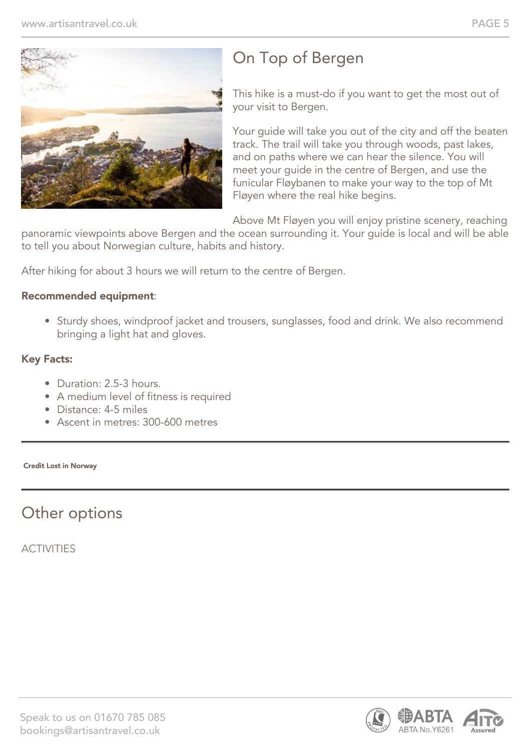

## On Top of Bergen

This hike is a must-do if you want to get the most out of your visit to Bergen.

Your guide will take you out of the city and off the beaten track. The trail will take you through woods, past lakes, and on paths where we can hear the silence. You will meet your guide in the centre of Bergen, and use the funicular Fløybanen to make your way to the top of Mt Fløyen where the real hike begins.

Above Mt Fløyen you will enjoy pristine scenery, reaching

panoramic viewpoints above Bergen and the ocean surrounding it. Your guide is local and will be able to tell you about Norwegian culture, habits and history.

After hiking for about 3 hours we will return to the centre of Bergen.

#### Recommended equipment:

• Sturdy shoes, windproof jacket and trousers, sunglasses, food and drink. We also recommend bringing a light hat and gloves.

#### Key Facts:

- Duration: 2.5-3 hours.
- A medium level of fitness is required
- Distance: 4-5 miles
- Ascent in metres: 300-600 metres

Credit Lost in Norway

### Other options

**ACTIVITIES** 

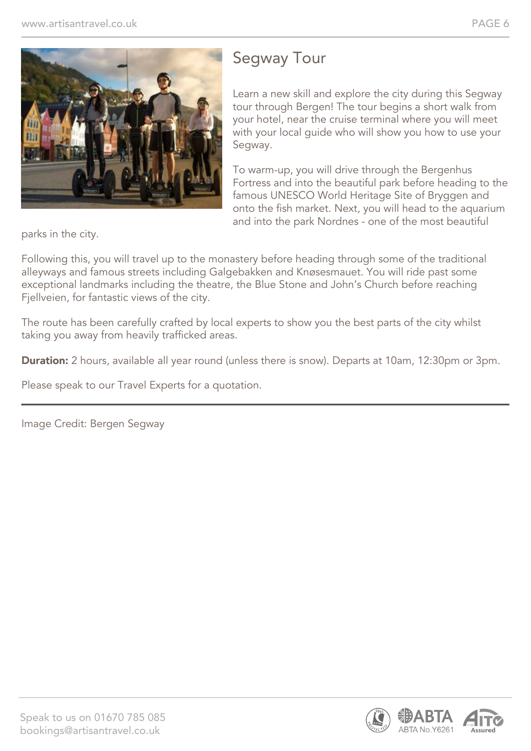

### Segway Tour

Learn a new skill and explore the city during this Segway tour through Bergen! The tour begins a short walk from your hotel, near the cruise terminal where you will meet with your local guide who will show you how to use your Segway.

To warm-up, you will drive through the Bergenhus Fortress and into the beautiful park before heading to the famous UNESCO World Heritage Site of Bryggen and onto the fish market. Next, you will head to the aquarium and into the park Nordnes - one of the most beautiful

parks in the city.

Following this, you will travel up to the monastery before heading through some of the traditional alleyways and famous streets including Galgebakken and Knøsesmauet. You will ride past some exceptional landmarks including the theatre, the Blue Stone and John's Church before reaching Fjellveien, for fantastic views of the city.

The route has been carefully crafted by local experts to show you the best parts of the city whilst taking you away from heavily trafficked areas.

**Duration:** 2 hours, available all year round (unless there is snow). Departs at 10am, 12:30pm or 3pm.

Please speak to our Travel Experts for a quotation.

Image Credit: Bergen Segway

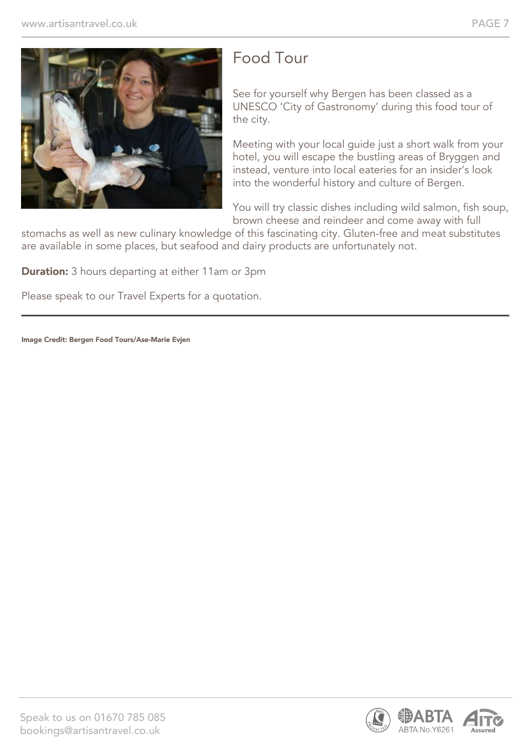

### Food Tour

See for yourself why Bergen has been classed as a UNESCO 'City of Gastronomy' during this food tour of the city.

Meeting with your local guide just a short walk from your hotel, you will escape the bustling areas of Bryggen and instead, venture into local eateries for an insider's look into the wonderful history and culture of Bergen.

You will try classic dishes including wild salmon, fish soup, brown cheese and reindeer and come away with full

stomachs as well as new culinary knowledge of this fascinating city. Gluten-free and meat substitutes are available in some places, but seafood and dairy products are unfortunately not.

**Duration:** 3 hours departing at either 11am or 3pm

Please speak to our Travel Experts for a quotation.

Image Credit: Bergen Food Tours/Ase-Marie Evjen

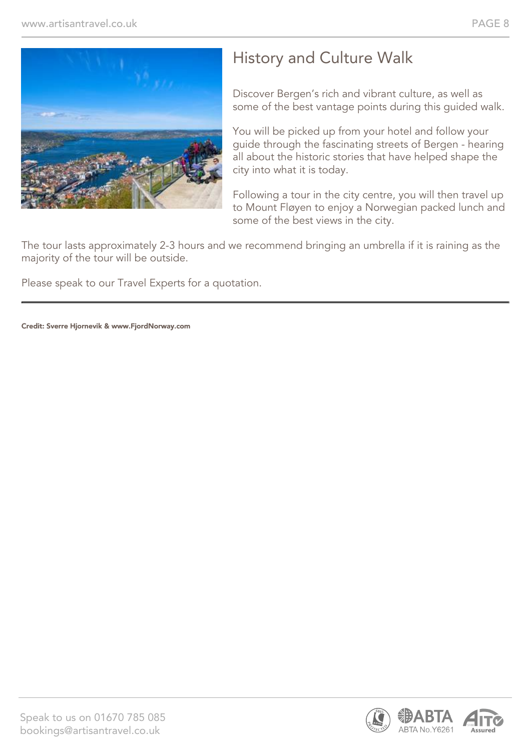

### History and Culture Walk

Discover Bergen's rich and vibrant culture, as well as some of the best vantage points during this guided walk.

You will be picked up from your hotel and follow your guide through the fascinating streets of Bergen - hearing all about the historic stories that have helped shape the city into what it is today.

Following a tour in the city centre, you will then travel up to Mount Fløyen to enjoy a Norwegian packed lunch and some of the best views in the city.

The tour lasts approximately 2-3 hours and we recommend bringing an umbrella if it is raining as the majority of the tour will be outside.

Please speak to our Travel Experts for a quotation.

Credit: Sverre Hjornevik & www.FjordNorway.com

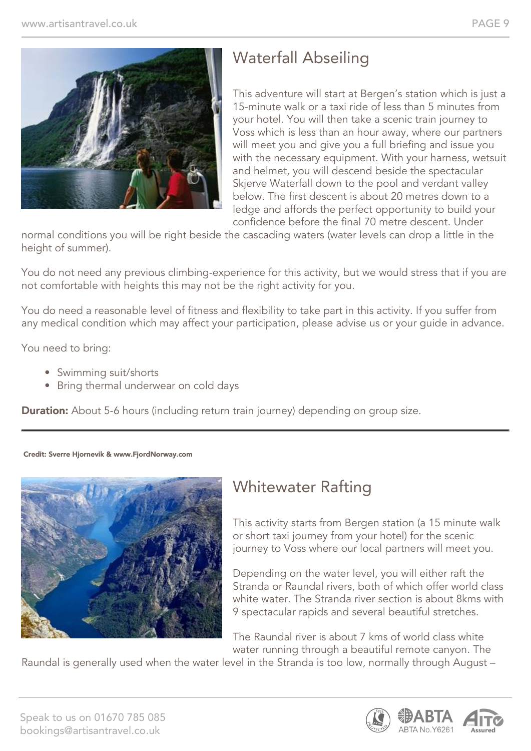

## Waterfall Abseiling

This adventure will start at Bergen's station which is just a 15-minute walk or a taxi ride of less than 5 minutes from your hotel. You will then take a scenic train journey to Voss which is less than an hour away, where our partners will meet you and give you a full briefing and issue you with the necessary equipment. With your harness, wetsuit and helmet, you will descend beside the spectacular Skjerve Waterfall down to the pool and verdant valley below. The first descent is about 20 metres down to a ledge and affords the perfect opportunity to build your confidence before the final 70 metre descent. Under

normal conditions you will be right beside the cascading waters (water levels can drop a little in the height of summer).

You do not need any previous climbing-experience for this activity, but we would stress that if you are not comfortable with heights this may not be the right activity for you.

You do need a reasonable level of fitness and flexibility to take part in this activity. If you suffer from any medical condition which may affect your participation, please advise us or your guide in advance.

You need to bring:

- Swimming suit/shorts
- Bring thermal underwear on cold days

**Duration:** About 5-6 hours (including return train journey) depending on group size.

#### Credit: Sverre Hjornevik & www.FjordNorway.com



#### Whitewater Rafting

This activity starts from Bergen station (a 15 minute walk or short taxi journey from your hotel) for the scenic journey to Voss where our local partners will meet you.

Depending on the water level, you will either raft the Stranda or Raundal rivers, both of which offer world class white water. The Stranda river section is about 8kms with 9 spectacular rapids and several beautiful stretches.

The Raundal river is about 7 kms of world class white water running through a beautiful remote canyon. The

Raundal is generally used when the water level in the Stranda is too low, normally through August –

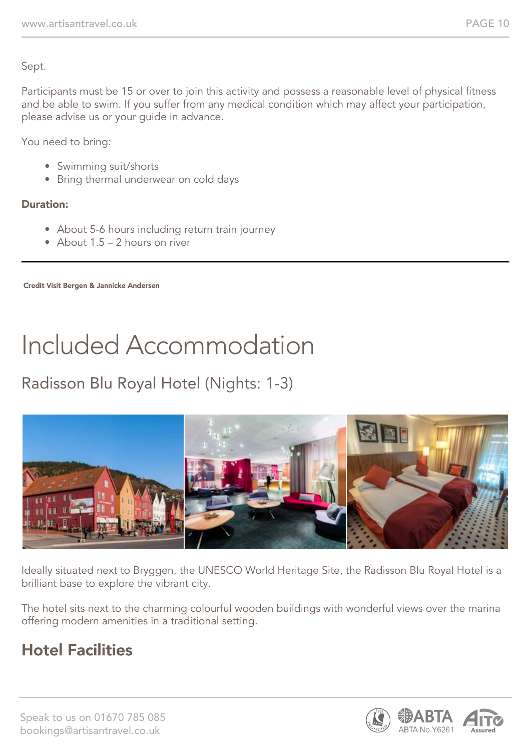Sept.

Participants must be 15 or over to join this activity and possess a reasonable level of physical fitness and be able to swim. If you suffer from any medical condition which may affect your participation, please advise us or your guide in advance.

You need to bring:

- Swimming suit/shorts
- Bring thermal underwear on cold days

#### Duration:

- About 5-6 hours including return train journey
- About 1.5 2 hours on river

Credit Visit Bergen & Jannicke Andersen

# Included Accommodation

## Radisson Blu Royal Hotel (Nights: 1-3)



Ideally situated next to Bryggen, the UNESCO World Heritage Site, the Radisson Blu Royal Hotel is a brilliant base to explore the vibrant city.

The hotel sits next to the charming colourful wooden buildings with wonderful views over the marina offering modern amenities in a traditional setting.

### Hotel Facilities

Speak to us on 01670 785 085 bookings@artisantravel.co.uk

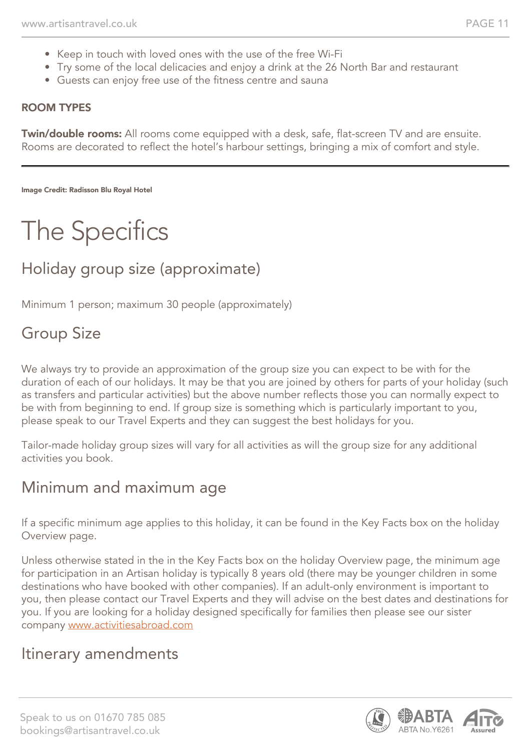- Keep in touch with loved ones with the use of the free Wi-Fi
- Try some of the local delicacies and enjoy a drink at the 26 North Bar and restaurant
- Guests can enjoy free use of the fitness centre and sauna

#### ROOM TYPES

Twin/double rooms: All rooms come equipped with a desk, safe, flat-screen TV and are ensuite. Rooms are decorated to reflect the hotel's harbour settings, bringing a mix of comfort and style.

Image Credit: Radisson Blu Royal Hotel

## The Specifics

### Holiday group size (approximate)

Minimum 1 person; maximum 30 people (approximately)

#### Group Size

We always try to provide an approximation of the group size you can expect to be with for the duration of each of our holidays. It may be that you are joined by others for parts of your holiday (such as transfers and particular activities) but the above number reflects those you can normally expect to be with from beginning to end. If group size is something which is particularly important to you, please speak to our Travel Experts and they can suggest the best holidays for you.

Tailor-made holiday group sizes will vary for all activities as will the group size for any additional activities you book.

#### Minimum and maximum age

If a specific minimum age applies to this holiday, it can be found in the Key Facts box on the holiday Overview page.

Unless otherwise stated in the in the Key Facts box on the holiday Overview page, the minimum age for participation in an Artisan holiday is typically 8 years old (there may be younger children in some destinations who have booked with other companies). If an adult-only environment is important to you, then please contact our Travel Experts and they will advise on the best dates and destinations for you. If you are looking for a holiday designed specifically for families then please see our sister company [www.activitiesabroad.com](http://www.activitiesabroad.com/)

#### Itinerary amendments